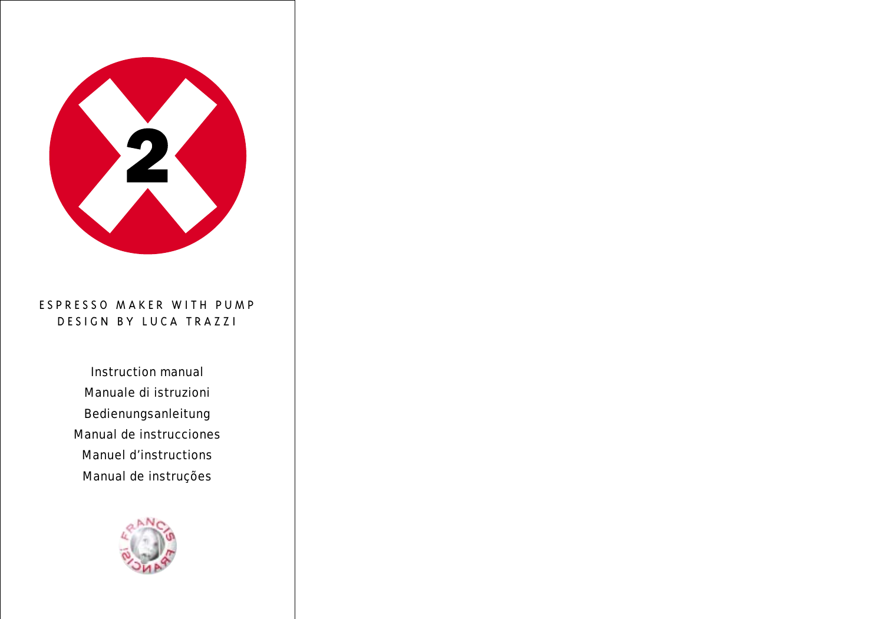

# ESPRESSO MAKER WITH PUMP DESIGN BY LUCA TRAZZI

Instruction manual Manuale di istruzioni Bedienungsanleitung Manual de instrucciones Manuel d'instructions Manual de instruções

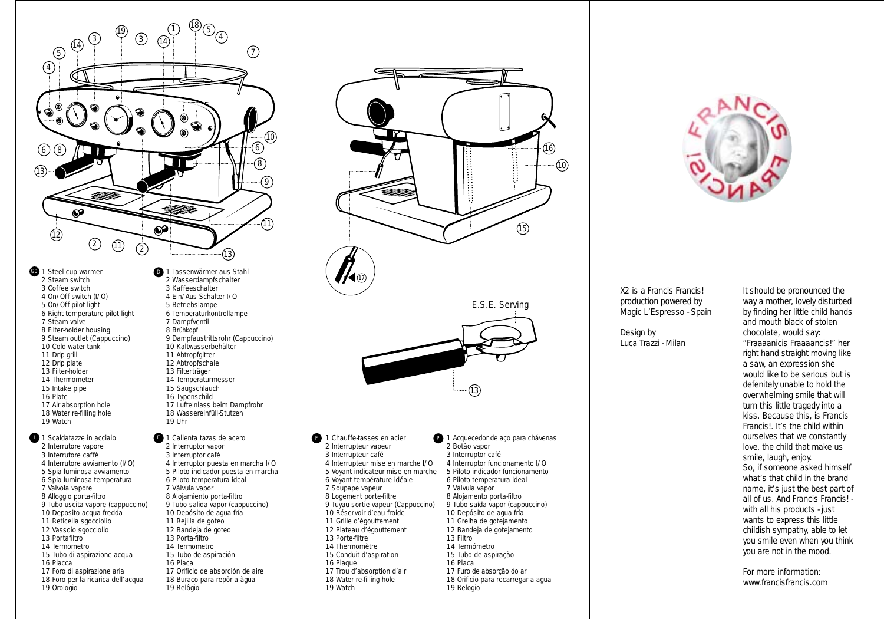

- GB 1 Steel cup warmer **D** 2 Steam switch Coffee switch On/Off switch (I/O) 5 On/Off pilot light Right temperature pilot light Steam valve Filter-holder housing Steam outlet (Cappuccino) 10 Cold water tank 11 Drip grill 12 Drip plate 13 Filter-holder 14 Thermometer Intake pipe Plate 17 Air absorption hole 18 Water re-filling hole 19 Watch
- **1 Scaldatazze in acciaio**  Interrutore vapore Interrutore caffè Interrutore avviamento (I/O) Spia luminosa avviamento Spia luminosa temperatura 7 Valvola vapore Alloggio porta-filtro Tubo uscita vapore (cappuccino) Deposito acqua fredda Reticella sgocciolio Vassoio sgocciolio 13 Portafiltro Termometro 15 Tubo di aspirazione acqua Placca Foro di aspirazione aria Foro per la ricarica dell'acqua Orologio
- Tassenwärmer aus Stahl Wasserdampfschalter Kaffeeschalter Ein/Aus Schalter I/O Betriebslampe Temperaturkontrollampe Dampfventil Brühkopf Dampfaustrittsrohr (Cappuccino) Kaltwasserbehälter 11 Abtropfgitter 12 Abtropfschale 13 Filterträger 14 Temperaturmesser 15 Saugschlauch 16 Typenschild 17 Lufteinlass beim Dampfrohr Wassereinfüll-Stutzen Uhr
- **1 Calienta tazas de acero** 2 Interruptor vapor 3 Interruptor café Interruptor puesta en marcha I/O Piloto indicador puesta en marcha Piloto temperatura ideal Válvula vapor Alojamiento porta-filtro Tubo salida vapor (cappuccino) Depósito de agua fría 11 Rejilla de goteo Bandeja de goteo Porta-filtro Termometro Tubo de aspiración Placa Orificio de absorción de aire 18 Buraco para repôr a àgua Relôgio





X2 is a Francis Francis! production powered by Magic L'Espresso - Spain

# Design by Luca Trazzi - Milan

It should be pronounced the way a mother, lovely disturbed by finding her little child hands and mouth black of stolen chocolate, would say: "Fraaaanicis Fraaaancis!" her right hand straight moving like a saw, an expression she would like to be serious but is defenitely unable to hold the overwhelming smile that will turn this little tragedy into a kiss. Because this, is Francis Francis!. It's the child within ourselves that we constantly love, the child that make us smile, laugh, enjoy. So, if someone asked himself what's that child in the brand name, it's just the best part of all of us. And Francis Francis! with all his products - just wants to express this little childish sympathy, able to let you smile even when you think you are not in the mood.

For more information: www.francisfrancis.com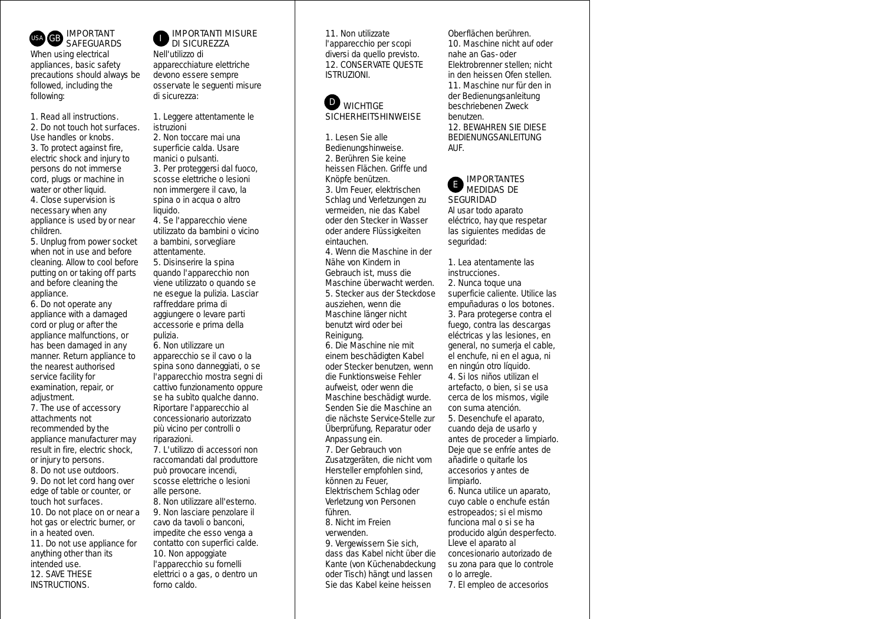

*When using electrical appliances, basic safety precautions should always be followed, including the following:*

1. Read all instructions.

2. Do not touch hot surfaces. Use handles or knobs. 3. To protect against fire, electric shock and injury to persons do not immerse cord, plugs or machine in water or other liquid.

4. Close supervision is necessary when any appliance is used by or near children.

5. Unplug from power socket when not in use and before cleaning. Allow to cool before putting on or taking off parts and before cleaning the appliance.

6. Do not operate any appliance with a damaged cord or plug or after the appliance malfunctions, or has been damaged in any manner. Return appliance to the nearest authorised service facility for examination, repair, or adiustment.

7. The use of accessory attachments not recommended by the appliance manufacturer may result in fire, electric shock, or injury to persons.

8. Do not use outdoors.

9. Do not let cord hang over edge of table or counter, or touch hot surfaces.

10. Do not place on or near a hot gas or electric burner, or in a heated oven.

11. Do not use appliance for anything other than its intended use. 12. SAVE THESE INSTRUCTIONS.

# IMPORTANTI MISURE DI SICUREZZA

*Nell'utilizzo di apparecchiature elettriche devono essere sempre osservate le seguenti misure di sicurezza:*

1. Leggere attentamente le istruzioni

2. Non toccare mai una superficie calda. Usare manici o pulsanti. 3. Per proteggersi dal fuoco,

scosse elettriche o lesioni non immergere il cavo, la spina o in acqua o altro liquido.

4. Se l'apparecchio viene utilizzato da bambini o vicino a bambini, sorvegliare attentamente.

5. Disinserire la spina quando l'apparecchio non viene utilizzato o quando se ne esegue la pulizia. Lasciar raffreddare prima di aggiungere o levare parti accessorie e prima della pulizia.

6. Non utilizzare un

apparecchio se il cavo o la spina sono danneggiati, o se l'apparecchio mostra segni di cattivo funzionamento oppure se ha subìto qualche danno. Riportare l'apparecchio al concessionario autorizzato più vicino per controlli o riparazioni.

7. L'utilizzo di accessori non raccomandati dal produttore può provocare incendi, scosse elettriche o lesioni alle persone.

8. Non utilizzare all'esterno. 9. Non lasciare penzolare il cavo da tavoli o banconi, impedite che esso venga a contatto con superfici calde. 10. Non appoggiate l'apparecchio su fornelli elettrici o a gas, o dentro un forno caldo.

11. Non utilizzate l'apparecchio per scopi diversi da quello previsto. 12. CONSERVATE QUESTE ISTRUZIONI.

#### **WICHTIGE SICHERHEITSHINWEISE** D

1. Lesen Sie alle Bedienungshinweise. 2. Berühren Sie keine heissen Flächen. Griffe und Knöpfe benützen. 3. Um Feuer, elektrischen Schlag und Verletzungen zu vermeiden, nie das Kabel oder den Stecker in Wasser oder andere Flüssigkeiten eintauchen.

4. Wenn die Maschine in der Nähe von Kindern in Gebrauch ist, muss die Maschine überwacht werden. 5. Stecker aus der Steckdose ausziehen, wenn die Maschine länger nicht benutzt wird oder bei Reinigung.

6. Die Maschine nie mit einem beschädigten Kabel oder Stecker benutzen, wenn die Funktionsweise Fehler aufweist, oder wenn die Maschine beschädigt wurde. Senden Sie die Maschine an die nächste Service-Stelle zur Überprüfung, Reparatur oder Anpassung ein.

7. Der Gebrauch von Zusatzgeräten, die nicht vom Hersteller empfohlen sind, können zu Feuer, Elektrischem Schlag oder Verletzung von Personen führen.

8. Nicht im Freien verwenden.

9. Vergewissern Sie sich, dass das Kabel nicht über die Kante (von Küchenabdeckung oder Tisch) hängt und lassen Sie das Kabel keine heissen

Oberflächen berühren. 10. Maschine nicht auf oder nahe an Gas- oder Elektrobrenner stellen; nicht in den heissen Ofen stellen. 11. Maschine nur für den in der Bedienungsanleitung beschriebenen Zweck benutzen. 12. BEWAHREN SIE DIESE

BEDIENUNGSANLEITUNG AUF.

#### IMPORTANTES MEDIDAS DE **SEGURIDAD** E

*Al usar todo aparato eléctrico, hay que respetar las siguientes medidas de seguridad:*

1. Lea atentamente las instrucciones.

2. Nunca toque una superficie caliente. Utilice las empuñaduras o los botones. 3. Para protegerse contra el fuego, contra las descargas eléctricas y las lesiones, en general, no sumerja el cable, el enchufe, ni en el agua, ni en ningún otro líquido.

4. Si los niños utilizan el artefacto, o bien, si se usa cerca de los mismos, vigile con suma atención.

5. Desenchufe el aparato, cuando deja de usarlo y antes de proceder a limpiarlo. Deje que se enfríe antes de añadirle o quitarle los accesorios y antes de limpiarlo.

6. Nunca utilice un aparato, cuyo cable o enchufe están estropeados; si el mismo funciona mal o si se ha producido algún desperfecto. Lleve el aparato al concesionario autorizado de su zona para que lo controle o lo arregle.

7. El empleo de accesorios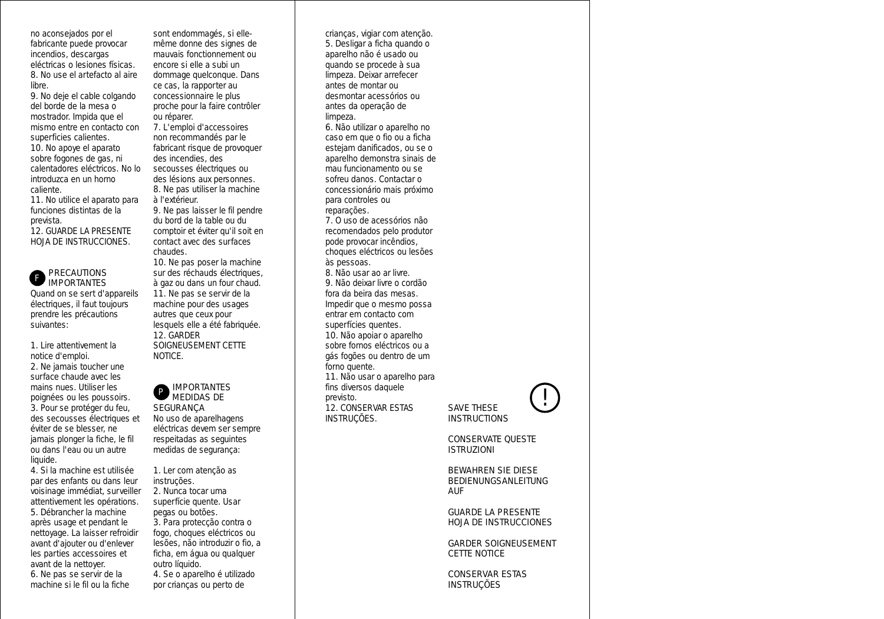no aconsejados por el fabricante puede provocar incendios, descargas eléctricas o lesiones físicas. 8. No use el artefacto al aire libre.

9. No deje el cable colgando del borde de la mesa o mostrador. Impida que el mismo entre en contacto con superficies calientes. 10. No apoye el aparato

sobre fogones de gas, ni calentadores eléctricos. No lo introduzca en un horno caliente.

11. No utilice el aparato para funciones distintas de la prevista.

12. GUARDE LA PRESENTE HOJA DE INSTRUCCIONES.

#### PRECAUTIONS IMPORTANTES F

*Quand on se sert d'appareils électriques, il faut toujours prendre les précautions suivantes:*

1. Lire attentivement la notice d'emploi. 2. Ne jamais toucher une surface chaude avec les mains nues. Utiliser les poignées ou les poussoirs. 3. Pour se protéger du feu, des secousses électriques et éviter de se blesser, ne jamais plonger la fiche, le fil ou dans l'eau ou un autre liquide.

4. Si la machine est utilisée par des enfants ou dans leur voisinage immédiat, surveiller attentivement les opérations. 5. Débrancher la machine après usage et pendant le nettoyage. La laisser refroidir avant d'ajouter ou d'enlever les parties accessoires et avant de la nettoyer. 6. Ne pas se servir de la machine si le fil ou la fiche

sont endommagés, si ellemême donne des signes de mauvais fonctionnement ou encore si elle a subi un dommage quelconque. Dans ce cas, la rapporter au concessionnaire le plus proche pour la faire contrôler ou réparer.

7. L'emploi d'accessoires non recommandés par le fabricant risque de provoquer des incendies, des secousses électriques ou des lésions aux personnes. 8. Ne pas utiliser la machine à l'extérieur.

9. Ne pas laisser le fil pendre du bord de la table ou du comptoir et éviter qu'il soit en contact avec des surfaces chaudes.

10. Ne pas poser la machine sur des réchauds électriques, à gaz ou dans un four chaud. 11. Ne pas se servir de la machine pour des usages autres que ceux pour lesquels elle a été fabriquée. 12. GARDER SOIGNEUSEMENT CETTE NOTICE.

#### IMPORTANTES MEDIDAS DE **SEGURANÇA** P

*No uso de aparelhagens eléctricas devem ser sempre respeitadas as seguintes medidas de segurança:*

1. Ler com atenção as instruções. 2. Nunca tocar uma superfície quente. Usar pegas ou botões. 3. Para protecção contra o fogo, choques eléctricos ou lesões, não introduzir o fio, a ficha, em água ou qualquer outro líquido.

4. Se o aparelho é utilizado por crianças ou perto de

crianças, vigiar com atenção. **5.** Desligar a ficha quando o aparelho não é usado ou quando se procede à sua limpeza. Deixar arrefecer antes de montar ou desmontar acessórios ou antes da operação de limpeza.

6. Não utilizar o aparelho no caso em que o fio ou a ficha estejam danificados, ou se o aparelho demonstra sinais de mau funcionamento ou se sofreu danos. Contactar o concessionário mais próximo para controles ou reparações.

7. O uso de acessórios não recomendados pelo produtor pode provocar incêndios, choques eléctricos ou lesões às pessoas.

8. Não usar ao ar livre. 9. Não deixar livre o cordão fora da beira das mesas. Impedir que o mesmo possa entrar em contacto com superfícies quentes.

10. Não apoiar o aparelho sobre fornos eléctricos ou a gás fogões ou dentro de um forno quente.

11. Não usar o aparelho para fins diversos daquele previsto. 12. CONSERVAR ESTAS

INSTRUÇÕES.

# SAVE THESE **INSTRUCTIONS**

CONSERVATE QUESTE ISTRUZIONI

!

BEWAHREN SIE DIESE BEDIENUNGSANLEITUNG AUF

GUARDE LA PRESENTE HOJA DE INSTRUCCIONES

GARDER SOIGNEUSEMENT CETTE NOTICE

CONSERVAR ESTAS **INSTRUCÕES**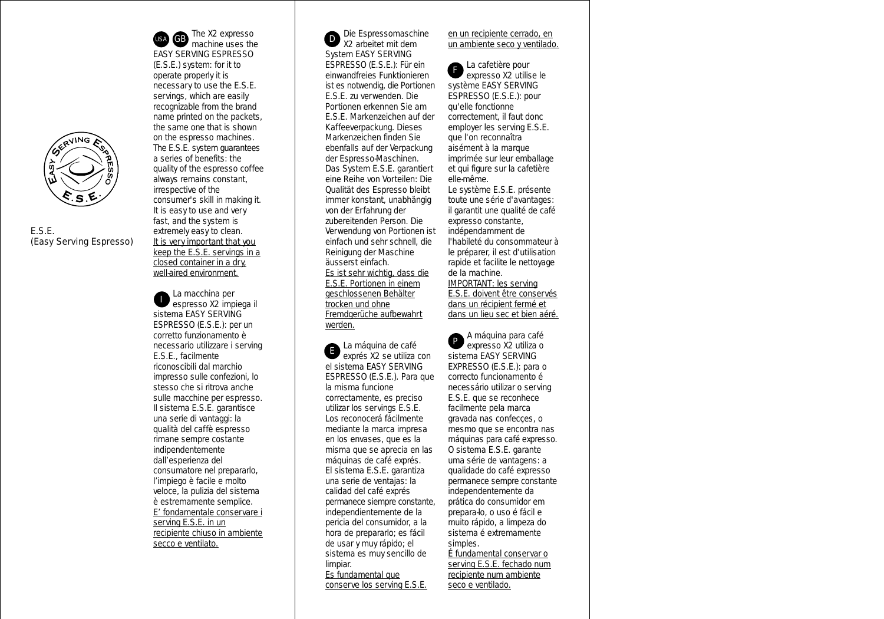

E.S.E. (Easy Serving Espresso)

The X2 expresso  $\overline{G}$ B machine uses the  $\overline{D}$ EASY SERVING ESPRESSO (E.S.E.) system: for it to operate properly it is necessary to use the E.S.E. servings, which are easily recognizable from the brand name printed on the packets, the same one that is shown on the espresso machines. The E.S.E. system guarantees a series of benefits: the quality of the espresso coffee always remains constant, irrespective of the consumer's skill in making it. It is easy to use and very fast, and the system is extremely easy to clean. It is very important that you keep the E.S.E. servings in a closed container in a dry, well-aired environment. USA

La macchina per espresso X2 impiega il sistema EASY SERVING ESPRESSO (E.S.E.): per un corretto funzionamento è necessario utilizzare i serving E.S.E., facilmente riconoscibili dal marchio impresso sulle confezioni, lo stesso che si ritrova anche sulle macchine per espresso. Il sistema E.S.E. garantisce una serie di vantaggi: la qualità del caffè espresso rimane sempre costante indipendentemente dall'esperienza del consumatore nel prepararlo, l'impiego è facile e molto veloce, la pulizia del sistema è estremamente semplice. E' fondamentale conservare i serving E.S.E. in un recipiente chiuso in ambiente secco e ventilato. I

Die Espressomaschine X2 arbeitet mit dem System EASY SERVING ESPRESSO (E.S.E.): Für ein einwandfreies Funktionieren ist es notwendig, die Portionen E.S.E. zu verwenden. Die Portionen erkennen Sie am E.S.E. Markenzeichen auf der Kaffeeverpackung. Dieses Markenzeichen finden Sie ebenfalls auf der Verpackung der Espresso-Maschinen. Das System E.S.E. garantiert eine Reihe von Vorteilen: Die Qualität des Espresso bleibt immer konstant, unabhängig von der Erfahrung der zubereitenden Person. Die Verwendung von Portionen ist einfach und sehr schnell, die Reinigung der Maschine äusserst einfach. Es ist sehr wichtig, dass die E.S.E. Portionen in einem geschlossenen Behälter trocken und ohne Fremdgerüche aufbewahrt werden.

La máquina de café exprés X2 se utiliza con el sistema EASY SERVING ESPRESSO (E.S.E.). Para que la misma funcione correctamente, es preciso utilizar los servings E.S.E. Los reconocerá fácilmente mediante la marca impresa en los envases, que es la misma que se aprecia en las máquinas de café exprés. El sistema E.S.E. garantiza una serie de ventajas: la calidad del café exprés permanece siempre constante, independientemente de la pericia del consumidor, a la hora de prepararlo; es fácil de usar y muy rápido; el sistema es muy sencillo de limpiar. E

Es fundamental que conserve los serving E.S.E.

# en un recipiente cerrado, en un ambiente seco y ventilado.

La cafetière pour expresso X2 utilise le système EASY SERVING ESPRESSO (E.S.E.): pour qu'elle fonctionne correctement, il faut donc employer les serving E.S.E. que l'on reconnaîtra aisément à la marque imprimée sur leur emballage et qui figure sur la cafetière elle-même. Le système E.S.E. présente toute une série d'avantages: il garantit une qualité de café expresso constante, indépendamment de l'habileté du consommateur à le préparer, il est d'utilisation rapide et facilite le nettoyage de la machine. IMPORTANT: les serving E.S.E. doivent être conservés F

dans un récipient fermé et dans un lieu sec et bien aéré.

A máquina para café expresso X2 utiliza o sistema EASY SERVING EXPRESSO (E.S.E.): para o correcto funcionamento é necessário utilizar o serving E.S.E. que se reconhece facilmente pela marca gravada nas confecçes, o mesmo que se encontra nas máquinas para café expresso. O sistema E.S.E. garante uma série de vantagens: a qualidade do café expresso permanece sempre constante independentemente da prática do consumidor em prepara-lo, o uso é fácil e muito rápido, a limpeza do sistema é extremamente simples. P

É fundamental conservar o serving E.S.E. fechado num recipiente num ambiente seco e ventilado.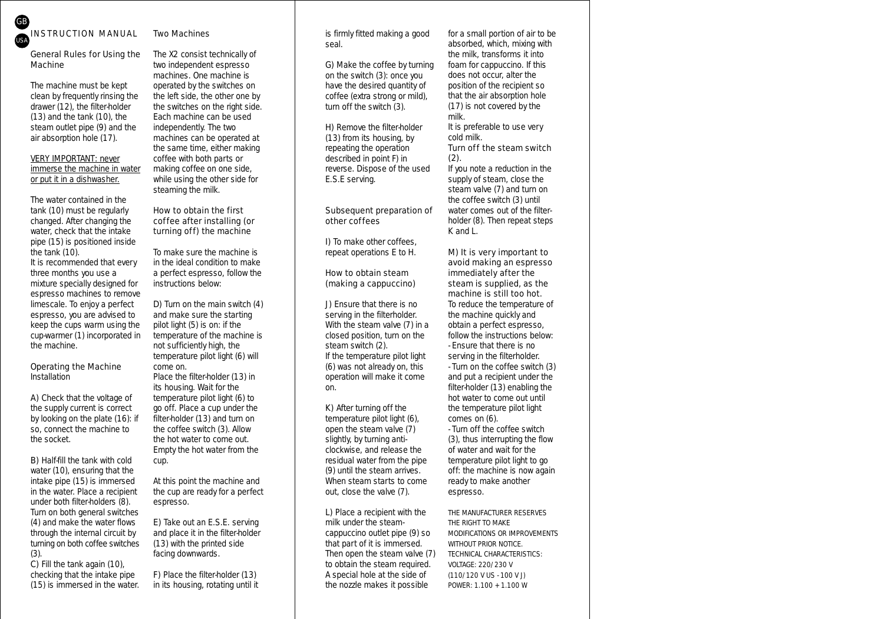

# Two Machines

# General Rules for Using the Machine

The machine must be kept clean by frequently rinsing the drawer (12), the filter-holder (13) and the tank (10), the steam outlet pipe (9) and the air absorption hole (17).

# VERY IMPORTANT: never immerse the machine in water or put it in a dishwasher.

The water contained in the tank (10) must be regularly changed. After changing the water, check that the intake pipe (15) is positioned inside the tank (10).

It is recommended that every three months you use a mixture specially designed for espresso machines to remove limescale. To enjoy a perfect espresso, you are advised to keep the cups warm using the cup-warmer (1) incorporated in the machine.

# Operating the Machine *Installation*

A) Check that the voltage of the supply current is correct by looking on the plate (16): if so, connect the machine to the socket.

B) Half-fill the tank with cold water (10), ensuring that the intake pipe (15) is immersed in the water. Place a recipient under both filter-holders (8). Turn on both general switches (4) and make the water flows through the internal circuit by turning on both coffee switches (3).

C) Fill the tank again (10), checking that the intake pipe (15) is immersed in the water. The X2 consist technically of two independent espresso machines. One machine is operated by the switches on the left side, the other one by the switches on the right side. Each machine can be used independently. The two machines can be operated at the same time, either making coffee with both parts or making coffee on one side, while using the other side for steaming the milk.

# How to obtain the first coffee after installing (or turning off) the machine

To make sure the machine is in the ideal condition to make a perfect espresso, follow the instructions below:

D) Turn on the main switch (4) and make sure the starting pilot light (5) is on: if the temperature of the machine is not sufficiently high, the temperature pilot light (6) will come on.

Place the filter-holder (13) in its housing. Wait for the temperature pilot light (6) to go off. Place a cup under the filter-holder (13) and turn on the coffee switch (3). Allow the hot water to come out. Empty the hot water from the cup.

*At this point the machine and the cup are ready for a perfect espresso.*

E) Take out an E.S.E. serving and place it in the filter-holder (13) with the printed side facing downwards.

F) Place the filter-holder (13) in its housing, rotating until it is firmly fitted making a good seal.

G) Make the coffee by turning on the switch (3): once you have the desired quantity of coffee (extra strong or mild), turn off the switch (3).

H) Remove the filter-holder (13) from its housing, by repeating the operation described in point F) in reverse. Dispose of the used E.S.E serving.

# Subsequent preparation of other coffees

D To make other coffees. repeat operations E to H.

# How to obtain steam (making a cappuccino)

J) Ensure that there is no serving in the filterholder. With the steam valve (7) in a closed position, turn on the steam switch (2). If the temperature pilot light (6) was not already on, this operation will make it come on.

K) After turning off the temperature pilot light (6), open the steam valve (7) slightly, by turning anticlockwise, and release the residual water from the pipe (9) until the steam arrives. When steam starts to come out, close the valve (7).

L) Place a recipient with the milk under the steamcappuccino outlet pipe (9) so that part of it is immersed. Then open the steam valve (7) to obtain the steam required. A special hole at the side of the nozzle makes it possible

for a small portion of air to be absorbed, which, mixing with the milk, transforms it into foam for cappuccino. If this does not occur, alter the position of the recipient so that the air absorption hole (17) is not covered by the milk.

It is preferable to use very cold milk.

# Turn off the steam switch (2).

If you note a reduction in the supply of steam, close the steam valve (7) and turn on the coffee switch (3) until water comes out of the filterholder (8). Then repeat steps K and L.

# M) It is very important to avoid making an espresso immediately after the steam is supplied, as the machine is still too hot.

To reduce the temperature of the machine quickly and obtain a perfect espresso, follow the instructions below:

- Ensure that there is no serving in the filterholder.

- Turn on the coffee switch (3) and put a recipient under the filter-holder (13) enabling the hot water to come out until the temperature pilot light comes on (6).

- Turn off the coffee switch (3), thus interrupting the flow of water and wait for the temperature pilot light to go off: the machine is now again ready to make another espresso.

THE MANUFACTURER RESERVES THE RIGHT TO MAKE MODIFICATIONS OR IMPROVEMENTS WITHOUT PRIOR NOTICE. TECHNICAL CHARACTERISTICS: VOLTAGE: 220/230 V (110/120 V US - 100 V J) POWER: 1.100 + 1.100 W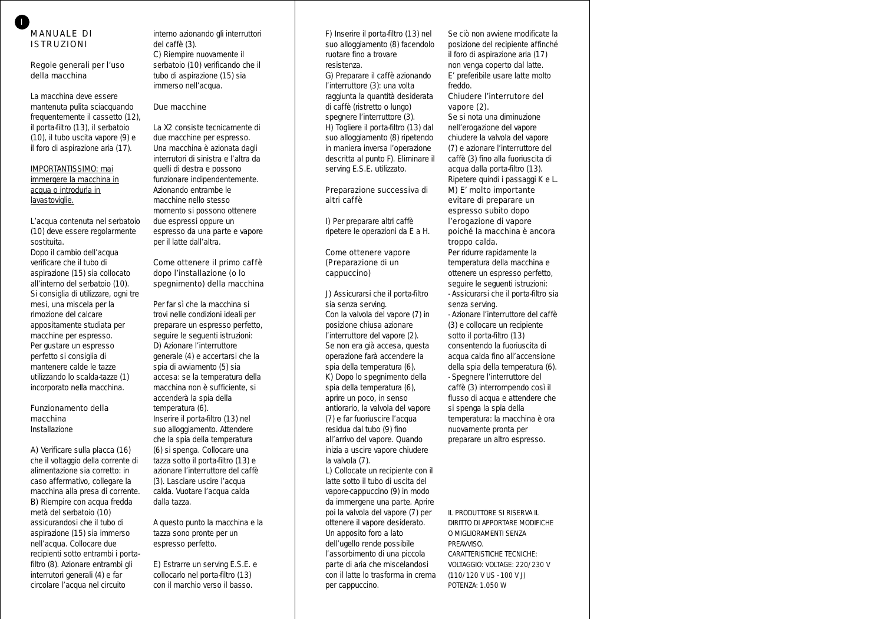# MANUALE DI ISTRUZIONI

I

# Regole generali per l'uso della macchina

La macchina deve essere mantenuta pulita sciacquando frequentemente il cassetto (12), il porta-filtro (13), il serbatoio (10), il tubo uscita vapore (9) e il foro di aspirazione aria (17).

# IMPORTANTISSIMO: mai immergere la macchina in acqua o introdurla in lavastoviglie.

L'acqua contenuta nel serbatoio (10) deve essere regolarmente sostituita.

Dopo il cambio dell'acqua verificare che il tubo di aspirazione (15) sia collocato all'interno del serbatoio (10). Si consiglia di utilizzare, ogni tre mesi, una miscela per la rimozione del calcare appositamente studiata per macchine per espresso. Per gustare un espresso perfetto si consiglia di mantenere calde le tazze utilizzando lo scalda-tazze (1) incorporato nella macchina.

#### Funzionamento della macchina *Installazione*

A) Verificare sulla placca (16) che il voltaggio della corrente di alimentazione sia corretto: in caso affermativo, collegare la macchina alla presa di corrente. **B)** Riempire con acqua fredda metà del serbatoio (10) assicurandosi che il tubo di aspirazione (15) sia immerso nell'acqua. Collocare due recipienti sotto entrambi i portafiltro (8). Azionare entrambi gli interrutori generali (4) e far circolare l'acqua nel circuito

interno azionando gli interruttori del caffè (3). C) Riempire nuovamente il serbatoio (10) verificando che il tubo di aspirazione (15) sia immerso nell'acqua.

# Due macchine

La X2 consiste tecnicamente di due macchine per espresso. Una macchina è azionata dagli interrutori di sinistra e l'altra da quelli di destra e possono funzionare indipendentemente. Azionando entrambe le macchine nello stesso momento si possono ottenere due espressi oppure un espresso da una parte e vapore per il latte dall'altra.

# Come ottenere il primo caffè dopo l'installazione (o lo spegnimento) della macchina

Per far sì che la macchina si trovi nelle condizioni ideali per preparare un espresso perfetto, seguire le seguenti istruzioni: D) Azionare l'interruttore generale (4) e accertarsi che la spia di avviamento (5) sia accesa: se la temperatura della macchina non è sufficiente, si accenderà la spia della temperatura (6). Inserire il porta-filtro (13) nel suo alloggiamento. Attendere che la spia della temperatura (6) si spenga. Collocare una tazza sotto il porta-filtro (13) e azionare l'interruttore del caffè (3). Lasciare uscire l'acqua calda. Vuotare l'acqua calda dalla tazza.

*A questo punto la macchina e la tazza sono pronte per un espresso perfetto.*

E) Estrarre un serving E.S.E. e collocarlo nel porta-filtro (13) con il marchio verso il basso.

F) Inserire il porta-filtro (13) nel suo alloggiamento (8) facendolo ruotare fino a trovare resistenza.

G) Preparare il caffè azionando l'interruttore (3): una volta raggiunta la quantità desiderata di caffè (ristretto o lungo) spegnere l'interruttore (3). H) Togliere il porta-filtro (13) dal suo alloggiamento (8) ripetendo in maniera inversa l'operazione descritta al punto F). Eliminare il serving E.S.E. utilizzato.

# Preparazione successiva di altri caffè

I) Per preparare altri caffè ripetere le operazioni da E a H.

# Come ottenere vapore (Preparazione di un cappuccino)

J) Assicurarsi che il porta-filtro sia senza serving. Con la valvola del vapore (7) in posizione chiusa azionare l'interruttore del vapore (2). Se non era già accesa, questa operazione farà accendere la spia della temperatura (6). K) Dopo lo spegnimento della spia della temperatura (6), aprire un poco, in senso antiorario, la valvola del vapore (7) e far fuoriuscire l'acqua residua dal tubo (9) fino all'arrivo del vapore. Quando inizia a uscire vapore chiudere la valvola (7).

L) Collocate un recipiente con il latte sotto il tubo di uscita del vapore-cappuccino (9) in modo da immergene una parte. Aprire poi la valvola del vapore (7) per ottenere il vapore desiderato. Un apposito foro a lato dell'ugello rende possibile l'assorbimento di una piccola parte di aria che miscelandosi con il latte lo trasforma in crema per cappuccino.

Se ciò non avviene modificate la posizione del recipiente affinché il foro di aspirazione aria (17) non venga coperto dal latte. E' preferibile usare latte molto freddo.

# Chiudere l'interrutore del vapore (2).

Se si nota una diminuzione nell'erogazione del vapore chiudere la valvola del vapore (7) e azionare l'interruttore del caffè (3) fino alla fuoriuscita di acqua dalla porta-filtro (13). Ripetere quindi i passaggi K e L. M) E' molto importante evitare di preparare un espresso subito dopo l'erogazione di vapore poiché la macchina è ancora troppo calda.

Per ridurre rapidamente la temperatura della macchina e ottenere un espresso perfetto, seguire le seguenti istruzioni: - Assicurarsi che il porta-filtro sia senza serving.

- Azionare l'interruttore del caffè (3) e collocare un recipiente sotto il porta-filtro (13) consentendo la fuoriuscita di acqua calda fino all'accensione della spia della temperatura (6). - Spegnere l'interruttore del caffè (3) interrompendo così il flusso di acqua e attendere che si spenga la spia della temperatura: la macchina è ora nuovamente pronta per preparare un altro espresso.

IL PRODUTTORE SI RISERVA IL DIRITTO DI APPORTARE MODIFICHE O MIGLIORAMENTI SENZA **PREAVVISO** CARATTERISTICHE TECNICHE: VOLTAGGIO: VOLTAGE: 220/230 V (110/120 V US - 100 V J) POTENZA: 1.050 W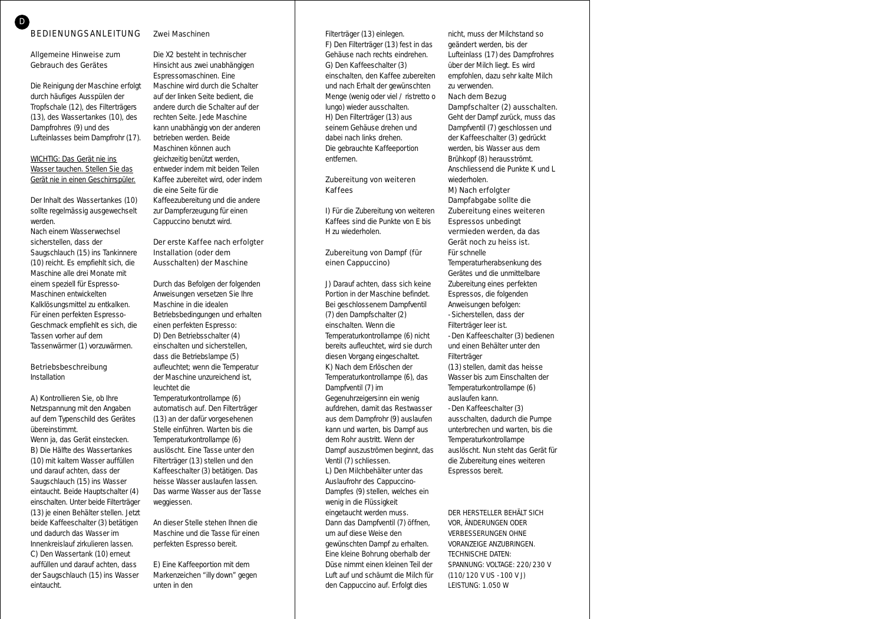# Zwei Maschinen

## Allgemeine Hinweise zum Gebrauch des Gerätes

Die Reinigung der Maschine erfolgt durch häufiges Ausspülen der Tropfschale (12), des Filterträgers (13), des Wassertankes (10), des Dampfrohres (9) und des Lufteinlasses beim Dampfrohr (17).

### WICHTIG: Das Gerät nie ins Wasser tauchen. Stellen Sie das Gerät nie in einen Geschirrspüler.

Der Inhalt des Wassertankes (10) sollte regelmässig ausgewechselt werden.

Nach einem Wasserwechsel sicherstellen, dass der Saugschlauch (15) ins Tankinnere (10) reicht. Es empfiehlt sich, die Maschine alle drei Monate mit einem speziell für Espresso-Maschinen entwickelten Kalklösungsmittel zu entkalken. Für einen perfekten Espresso-Geschmack empfiehlt es sich, die Tassen vorher auf dem Tassenwärmer (1) vorzuwärmen.

# Betriebsbeschreibung

Installation

A) Kontrollieren Sie, ob Ihre Netzspannung mit den Angaben auf dem Typenschild des Gerätes übereinstimmt.

Wenn ja, das Gerät einstecken. B) Die Hälfte des Wassertankes (10) mit kaltem Wasser auffüllen und darauf achten, dass der Saugschlauch (15) ins Wasser eintaucht. Beide Hauptschalter (4) einschalten. Unter beide Filterträger (13) je einen Behälter stellen. Jetzt beide Kaffeeschalter (3) betätigen und dadurch das Wasser im Innenkreislauf zirkulieren lassen. C) Den Wassertank (10) erneut auffüllen und darauf achten, dass der Saugschlauch (15) ins Wasser eintaucht.

Die X2 besteht in technischer Hinsicht aus zwei unabhängigen Espressomaschinen. Eine Maschine wird durch die Schalter auf der linken Seite bedient, die andere durch die Schalter auf der rechten Seite. Jede Maschine kann unabhängig von der anderen betrieben werden. Beide Maschinen können auch gleichzeitig benützt werden, entweder indem mit beiden Teilen Kaffee zubereitet wird, oder indem die eine Seite für die Kaffeezubereitung und die andere zur Dampferzeugung für einen Cappuccino benutzt wird.

## Der erste Kaffee nach erfolgter Installation (oder dem Ausschalten) der Maschine

Durch das Befolgen der folgenden Anweisungen versetzen Sie Ihre Maschine in die idealen Betriebsbedingungen und erhalten einen perfekten Espresso: D) Den Betriebsschalter (4) einschalten und sicherstellen, dass die Betriebslampe (5) aufleuchtet; wenn die Temperatur der Maschine unzureichend ist, leuchtet die Temperaturkontrollampe (6)

automatisch auf. Den Filterträger (13) an der dafür vorgesehenen Stelle einführen. Warten bis die Temperaturkontrollampe (6) auslöscht. Eine Tasse unter den Filterträger (13) stellen und den Kaffeeschalter (3) betätigen. Das heisse Wasser auslaufen lassen. Das warme Wasser aus der Tasse weggiessen.

*An dieser Stelle stehen Ihnen die Maschine und die Tasse für einen perfekten Espresso bereit.*

E) Eine Kaffeeportion mit dem Markenzeichen "illy down" gegen unten in den

Filterträger (13) einlegen. F) Den Filterträger (13) fest in das Gehäuse nach rechts eindrehen. G) Den Kaffeeschalter (3) einschalten, den Kaffee zubereiten und nach Erhalt der gewünschten Menge (wenig oder viel / ristretto o lungo) wieder ausschalten. H) Den Filterträger (13) aus seinem Gehäuse drehen und dabei nach links drehen. Die gebrauchte Kaffeeportion entfernen.

# Zubereitung von weiteren **Kaffees**

I) Für die Zubereitung von weiteren Kaffees sind die Punkte von E bis H zu wiederholen.

# Zubereitung von Dampf (für einen Cappuccino)

J) Darauf achten, dass sich keine Portion in der Maschine befindet. Bei geschlossenem Dampfventil (7) den Dampfschalter (2) einschalten. Wenn die Temperaturkontrollampe (6) nicht bereits aufleuchtet, wird sie durch diesen Vorgang eingeschaltet. K) Nach dem Erlöschen der Temperaturkontrollampe (6), das Dampfventil (7) im Gegenuhrzeigersinn ein wenig aufdrehen, damit das Restwasser aus dem Dampfrohr (9) auslaufen kann und warten, bis Dampf aus dem Rohr austritt. Wenn der Dampf auszuströmen beginnt, das Ventil (7) schliessen.

L) Den Milchbehälter unter das Auslaufrohr des Cappuccino-Dampfes (9) stellen, welches ein wenig in die Flüssigkeit eingetaucht werden muss. Dann das Dampfventil (7) öffnen, um auf diese Weise den gewünschten Dampf zu erhalten. Eine kleine Bohrung oberhalb der Düse nimmt einen kleinen Teil der Luft auf und schäumt die Milch für den Cappuccino auf. Erfolgt dies

nicht, muss der Milchstand so geändert werden, bis der Lufteinlass (17) des Dampfrohres über der Milch liegt. Es wird empfohlen, dazu sehr kalte Milch zu verwenden.

#### Nach dem Bezug Dampfschalter (2) ausschalten.

Geht der Dampf zurück, muss das Dampfventil (7) geschlossen und der Kaffeeschalter (3) gedrückt werden, bis Wasser aus dem Brühkopf (8) herausströmt. Anschliessend die Punkte K und L wiederholen.

M) Nach erfolgter Dampfabgabe sollte die Zubereitung eines weiteren Espressos unbedingt vermieden werden, da das Gerät noch zu heiss ist. Für schnelle

Temperaturherabsenkung des Gerätes und die unmittelbare Zubereitung eines perfekten Espressos, die folgenden Anweisungen befolgen: - Sicherstellen, dass der Filterträger leer ist. - Den Kaffeeschalter (3) bedienen und einen Behälter unter den Filter träger (13) stellen, damit das heisse Wasser bis zum Einschalten der Temperaturkontrollampe (6) auslaufen kann. - Den Kaffeeschalter (3)

ausschalten, dadurch die Pumpe unterbrechen und warten, bis die Temperaturkontrollampe auslöscht. Nun steht das Gerät für die Zubereitung eines weiteren Espressos bereit.

DER HERSTELLER BEHÄLT SICH VOR, ÄNDERUNGEN ODER VERBESSERUNGEN OHNE VORANZEIGE ANZUBRINGEN. TECHNISCHE DATEN: SPANNUNG: VOLTAGE: 220/230 V (110/120 V US - 100 V J) LEISTUNG: 1.050 W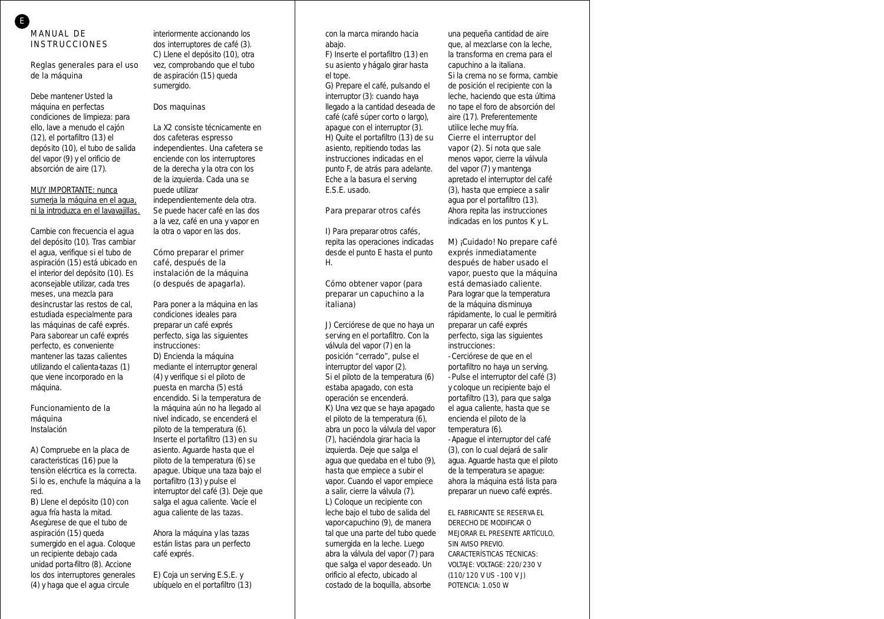E

# Reglas generales para el uso de la máquina

Debe mantener Usted la máquina en perfectas condiciones de limpieza: para ello, lave a menudo el cajón (12), el portafiltro (13) el depósito (10), el tubo de salida del vapor (9) y el orificio de absorción de aire (17).

# MUY IMPORTANTE: nunca sumerja la máquina en el agua, ni la introduzca en el lavavajillas.

Cambie con frecuencia el agua del depósito (10). Tras cambiar el agua, verifique si el tubo de aspiración (15) está ubicado en el interior del depósito (10). Es aconsejable utilizar, cada tres meses, una mezcla para desincrustar las restos de cal, estudiada especialmente para las máquinas de café exprés. Para saborear un café exprés perfecto, es conveniente mantener las tazas calientes utilizando el calienta-tazas (1) que viene incorporado en la máquina.

#### Funcionamiento de la máquina *Instalación*

A) Compruebe en la placa de caracteristicas (16) pue la tensiòn elécrtica es la correcta. Si lo es, enchufe la máquina a la red.

B) Llene el depósito (10) con agua fría hasta la mitad. Asegùrese de que el tubo de aspiración (15) queda sumergido en el agua. Coloque un recipiente debajo cada unidad porta-filtro (8). Accione los dos interruptores generales (4) y haga que el agua circule

interiormente accionando los dos interruptores de café (3). C) Llene el depósito (10), otra vez, comprobando que el tubo de aspiración (15) queda sumergido.

# Dos maquinas

La X2 consiste técnicamente en dos cafeteras espresso independientes. Una cafetera se enciende con los interruptores de la derecha y la otra con los de la izquierda. Cada una se puede utilizar independientemente dela otra. Se puede hacer café en las dos a la vez, café en una y vapor en

# Cómo preparar el primer café, después de la instalación de la máquina (o después de apagarla).

la otra o vapor en las dos.

Para poner a la máquina en las condiciones ideales para preparar un café exprés perfecto, siga las siguientes instrucciones: D) Encienda la máquina

mediante el interruptor general (4) y verifique si el piloto de puesta en marcha (5) está encendido. Si la temperatura de la máquina aún no ha llegado al nivel indicado, se encenderá el piloto de la temperatura (6). Inserte el portafiltro (13) en su asiento. Aguarde hasta que el piloto de la temperatura (6) se apague. Ubique una taza bajo el portafiltro (13) y pulse el interruptor del café (3). Deje que salga el agua caliente. Vacíe el agua caliente de las tazas.

*Ahora la máquina y las tazas están listas para un perfecto café exprés.*

E) Coja un serving E.S.E. y ubíquelo en el portafiltro (13) con la marca mirando hacia abajo.

F) Inserte el portafiltro (13) en su asiento y hágalo girar hasta el tope.

G) Prepare el café, pulsando el interruptor (3): cuando haya llegado a la cantidad deseada de café (café súper corto o largo), apague con el interruptor (3). H) Quite el portafiltro (13) de su asiento, repitiendo todas las instrucciones indicadas en el punto F, de atrás para adelante. Eche a la basura el serving E.S.E. usado.

# Para preparar otros cafés

I) Para preparar otros cafés, repita las operaciones indicadas desde el punto E hasta el punto H.

# Cómo obtener vapor (para preparar un capuchino a la italiana)

J) Cerciórese de que no haya un serving en el portafiltro. Con la válvula del vapor (7) en la posición "cerrado", pulse el interruptor del vapor (2). Si el piloto de la temperatura (6) estaba apagado, con esta operación se encenderá.

K) Una vez que se haya apagado el piloto de la temperatura (6), abra un poco la válvula del vapor (7), haciéndola girar hacia la izquierda. Deje que salga el agua que quedaba en el tubo (9), hasta que empiece a subir el vapor. Cuando el vapor empiece a salir, cierre la válvula (7). L) Coloque un recipiente con leche bajo el tubo de salida del vapor-capuchino (9), de manera tal que una parte del tubo quede sumergida en la leche. Luego abra la válvula del vapor (7) para que salga el vapor deseado. Un orificio al efecto, ubicado al costado de la boquilla, absorbe

una pequeña cantidad de aire que, al mezclarse con la leche, la transforma en crema para el capuchino a la italiana.

Si la crema no se forma, cambie de posición el recipiente con la leche, haciendo que esta última no tape el foro de absorción del aire (17). Preferentemente utilice leche muy fría.

Cierre el interruptor del vapor (2). Si nota que sale menos vapor, cierre la válvula del vapor (7) y mantenga apretado el interruptor del café (3), hasta que empiece a salir agua por el portafiltro (13). Ahora repita las instrucciones indicadas en los puntos K y L.

# M) ¡Cuidado! No prepare café exprés inmediatamente después de haber usado el vapor, puesto que la máquina está demasiado caliente.

Para lograr que la temperatura de la máquina disminuya rápidamente, lo cual le permitirá preparar un café exprés perfecto, siga las siguientes instrucciones:

- Cerciórese de que en el portafiltro no haya un serving.

- Pulse el interruptor del café (3) y coloque un recipiente bajo el portafiltro (13), para que salga el agua caliente, hasta que se encienda el piloto de la temperatura (6).

- Apague el interruptor del café (3), con lo cual dejará de salir agua. Aguarde hasta que el piloto de la temperatura se apague: ahora la máquina está lista para preparar un nuevo café exprés.

EL FABRICANTE SE RESERVA EL DERECHO DE MODIFICAR O MEJORAR EL PRESENTE ARTÍCULO, SIN AVISO PREVIO. CARACTERÍSTICAS TÉCNICAS: VOLTAJE: VOLTAGE: 220/230 V (110/120 V US - 100 V J) POTENCIA: 1.050 W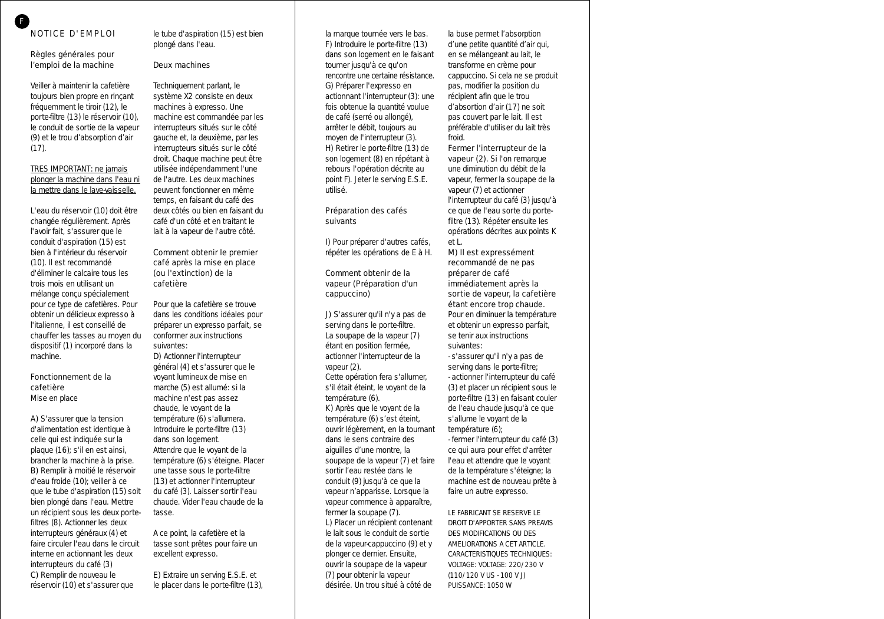# Règles générales pour l'emploi de la machine

Veiller à maintenir la cafetière toujours bien propre en rinçant fréquemment le tiroir (12), le porte-filtre (13) le réservoir (10), le conduit de sortie de la vapeur (9) et le trou d'absorption d'air  $(17)$ .

# TRES IMPORTANT: ne jamais plonger la machine dans l'eau ni la mettre dans le lave-vaisselle.

L'eau du réservoir (10) doit être changée régulièrement. Après l'avoir fait, s'assurer que le conduit d'aspiration (15) est bien à l'intérieur du réservoir (10). Il est recommandé d'éliminer le calcaire tous les trois mois en utilisant un mélange conçu spécialement pour ce type de cafetières. Pour obtenir un délicieux expresso à l'italienne, il est conseillé de chauffer les tasses au moyen du dispositif (1) incorporé dans la machine.

# Fonctionnement de la cafetière

*Mise en place*

A) S'assurer que la tension d'alimentation est identique à celle qui est indiquée sur la plaque (16); s'il en est ainsi, brancher la machine à la prise. B) Remplir à moitié le réservoir d'eau froide (10); veiller à ce que le tube d'aspiration (15) soit bien plongé dans l'eau. Mettre un récipient sous les deux portefiltres (8). Actionner les deux interrupteurs généraux (4) et faire circuler l'eau dans le circuit interne en actionnant les deux interrupteurs du café (3) C) Remplir de nouveau le réservoir (10) et s'assurer que

le tube d'aspiration (15) est bien plongé dans l'eau.

# Deux machines

Techniquement parlant, le système X2 consiste en deux machines à expresso. Une machine est commandée par les interrupteurs situés sur le côté gauche et, la deuxième, par les interrupteurs situés sur le côté droit. Chaque machine peut être utilisée indépendamment l'une de l'autre. Les deux machines peuvent fonctionner en même temps, en faisant du café des deux côtés ou bien en faisant du café d'un côté et en traitant le lait à la vapeur de l'autre côté.

# Comment obtenir le premier café après la mise en place (ou l'extinction) de la cafetière

Pour que la cafetière se trouve dans les conditions idéales pour préparer un expresso parfait, se conformer aux instructions suivantes:

D) Actionner l'interrupteur général (4) et s'assurer que le voyant lumineux de mise en marche (5) est allumé: si la machine n'est pas assez chaude, le voyant de la température (6) s'allumera. Introduire le porte-filtre (13) dans son logement. Attendre que le voyant de la température (6) s'éteigne. Placer une tasse sous le porte-filtre (13) et actionner l'interrupteur du café (3). Laisser sortir l'eau chaude. Vider l'eau chaude de la tasse.

*A ce point, la cafetière et la tasse sont prêtes pour faire un excellent expresso.*

E) Extraire un serving E.S.E. et le placer dans le porte-filtre (13),

la marque tournée vers le bas. F) Introduire le porte-filtre (13) dans son logement en le faisant tourner jusqu'à ce qu'on rencontre une certaine résistance. G) Préparer l'expresso en actionnant l'interrupteur (3): une fois obtenue la quantité voulue de café (serré ou allongé), arrêter le débit, toujours au moyen de l'interrupteur (3). H) Retirer le porte-filtre (13) de son logement (8) en répétant à rebours l'opération décrite au point F). Jeter le serving E.S.E. utilisé.

# Préparation des cafés suivants

I) Pour préparer d'autres cafés, répéter les opérations de E à H.

# Comment obtenir de la vapeur (Préparation d'un cappuccino)

J) S'assurer qu'il n'y a pas de serving dans le porte-filtre. La soupape de la vapeur (7) étant en position fermée, actionner l'interrupteur de la vapeur (2).

Cette opération fera s'allumer, s'il était éteint, le voyant de la température (6).

K) Après que le voyant de la température (6) s'est éteint, ouvrir légèrement, en la tournant dans le sens contraire des aiguilles d'une montre, la soupape de la vapeur (7) et faire sortir l'eau restée dans le conduit (9) jusqu'à ce que la vapeur n'apparisse. Lorsque la vapeur commence à apparaître, fermer la soupape (7). L) Placer un récipient contenant le lait sous le conduit de sortie de la vapeur-cappuccino (9) et y plonger ce dernier. Ensuite, ouvrir la soupape de la vapeur (7) pour obtenir la vapeur désirée. Un trou situé à côté de

la buse permet l'absorption d'une petite quantité d'air qui, en se mélangeant au lait, le transforme en crème pour cappuccino. Si cela ne se produit pas, modifier la position du récipient afin que le trou d'absortion d'air (17) ne soit pas couvert par le lait. Il est préférable d'utiliser du lait très froid.

# Fermer l'interrupteur de la

vapeur (2). Si l'on remarque une diminution du débit de la vapeur, fermer la soupape de la vapeur (7) et actionner l'interrupteur du café (3) jusqu'à ce que de l'eau sorte du portefiltre (13). Répéter ensuite les opérations décrites aux points K et L.

# M) Il est expressément recommandé de ne pas préparer de café immédiatement après la sortie de vapeur, la cafetière étant encore trop chaude.

Pour en diminuer la température et obtenir un expresso parfait, se tenir aux instructions suivantes:

- s'assurer qu'il n'y a pas de serving dans le porte-filtre;

- actionner l'interrupteur du café (3) et placer un récipient sous le porte-filtre (13) en faisant couler de l'eau chaude jusqu'à ce que s'allume le voyant de la température (6);

- fermer l'interrupteur du café (3) ce qui aura pour effet d'arrêter l'eau et attendre que le voyant de la température s'éteigne; la machine est de nouveau prête à faire un autre expresso.

LE FABRICANT SE RESERVE LE DROIT D'APPORTER SANS PREAVIS DES MODIFICATIONS OU DES AMELIORATIONS A CET ARTICLE. CARACTERISTIQUES TECHNIQUES: VOLTAGE: VOLTAGE: 220/230 V (110/120 V US - 100 V J) PUISSANCE: 1050 W